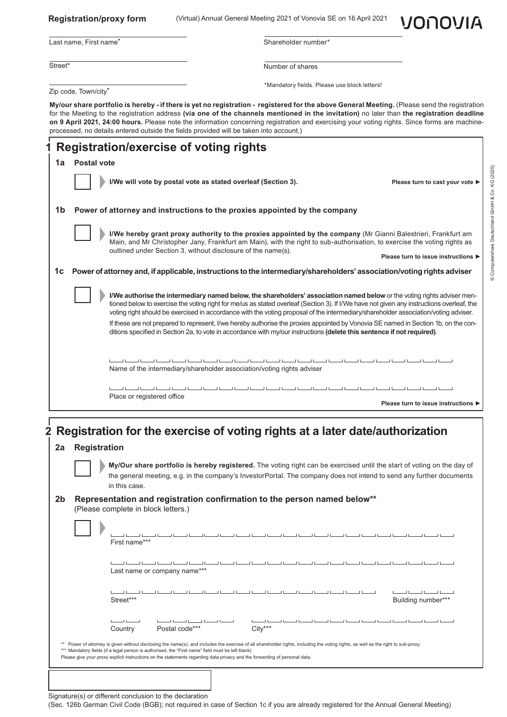|                      | <b>Registration/proxy form</b>                                                                                                                                                                                                                                                                                                                                                                                                                                                                                                       |                              |                                                                                                                         |                     |                                              |  | VONOVIA                                                                                                                                                                                                                                                                                                                                                                                                      |  |
|----------------------|--------------------------------------------------------------------------------------------------------------------------------------------------------------------------------------------------------------------------------------------------------------------------------------------------------------------------------------------------------------------------------------------------------------------------------------------------------------------------------------------------------------------------------------|------------------------------|-------------------------------------------------------------------------------------------------------------------------|---------------------|----------------------------------------------|--|--------------------------------------------------------------------------------------------------------------------------------------------------------------------------------------------------------------------------------------------------------------------------------------------------------------------------------------------------------------------------------------------------------------|--|
|                      | Last name, First name*                                                                                                                                                                                                                                                                                                                                                                                                                                                                                                               |                              |                                                                                                                         | Shareholder number* |                                              |  |                                                                                                                                                                                                                                                                                                                                                                                                              |  |
| Street*              |                                                                                                                                                                                                                                                                                                                                                                                                                                                                                                                                      |                              |                                                                                                                         | Number of shares    |                                              |  |                                                                                                                                                                                                                                                                                                                                                                                                              |  |
|                      | Zip code, Town/city*                                                                                                                                                                                                                                                                                                                                                                                                                                                                                                                 |                              |                                                                                                                         |                     | *Mandatory fields. Please use block letters! |  |                                                                                                                                                                                                                                                                                                                                                                                                              |  |
|                      | My/our share portfolio is hereby - if there is yet no registration - registered for the above General Meeting. (Please send the registration<br>for the Meeting to the registration address (via one of the channels mentioned in the invitation) no later than the registration deadline<br>on 9 April 2021, 24:00 hours. Please note the information concerning registration and exercising your voting rights. Since forms are machine-<br>processed, no details entered outside the fields provided will be taken into account.) |                              |                                                                                                                         |                     |                                              |  |                                                                                                                                                                                                                                                                                                                                                                                                              |  |
|                      | <b>Registration/exercise of voting rights</b>                                                                                                                                                                                                                                                                                                                                                                                                                                                                                        |                              |                                                                                                                         |                     |                                              |  |                                                                                                                                                                                                                                                                                                                                                                                                              |  |
| 1a                   | <b>Postal vote</b>                                                                                                                                                                                                                                                                                                                                                                                                                                                                                                                   |                              |                                                                                                                         |                     |                                              |  |                                                                                                                                                                                                                                                                                                                                                                                                              |  |
|                      |                                                                                                                                                                                                                                                                                                                                                                                                                                                                                                                                      |                              | I/We will vote by postal vote as stated overleaf (Section 3).                                                           |                     |                                              |  | Please turn to cast your vote ▶                                                                                                                                                                                                                                                                                                                                                                              |  |
| 1b                   | Power of attorney and instructions to the proxies appointed by the company                                                                                                                                                                                                                                                                                                                                                                                                                                                           |                              |                                                                                                                         |                     |                                              |  |                                                                                                                                                                                                                                                                                                                                                                                                              |  |
|                      |                                                                                                                                                                                                                                                                                                                                                                                                                                                                                                                                      |                              | outlined under Section 3, without disclosure of the name(s).                                                            |                     |                                              |  | I/We hereby grant proxy authority to the proxies appointed by the company (Mr Gianni Balestrieri, Frankfurt am<br>Main, and Mr Christopher Jany, Frankfurt am Main), with the right to sub-authorisation, to exercise the voting rights as<br>Please turn to issue instructions ▶                                                                                                                            |  |
| 1c                   | Power of attorney and, if applicable, instructions to the intermediary/shareholders' association/voting rights adviser                                                                                                                                                                                                                                                                                                                                                                                                               |                              |                                                                                                                         |                     |                                              |  |                                                                                                                                                                                                                                                                                                                                                                                                              |  |
|                      |                                                                                                                                                                                                                                                                                                                                                                                                                                                                                                                                      |                              |                                                                                                                         |                     |                                              |  |                                                                                                                                                                                                                                                                                                                                                                                                              |  |
|                      |                                                                                                                                                                                                                                                                                                                                                                                                                                                                                                                                      |                              |                                                                                                                         |                     |                                              |  | I/We authorise the intermediary named below, the shareholders' association named below or the voting rights adviser men-<br>tioned below to exercise the voting right for me/us as stated overleaf (Section 3). If I/We have not given any instructions overleaf, the<br>voting right should be exercised in accordance with the voting proposal of the intermediary/shareholder association/voting adviser. |  |
|                      |                                                                                                                                                                                                                                                                                                                                                                                                                                                                                                                                      |                              | ditions specified in Section 2a, to vote in accordance with my/our instructions (delete this sentence if not required). |                     |                                              |  | If these are not prepared to represent, I/we hereby authorise the proxies appointed by Vonovia SE named in Section 1b, on the con-                                                                                                                                                                                                                                                                           |  |
|                      |                                                                                                                                                                                                                                                                                                                                                                                                                                                                                                                                      |                              |                                                                                                                         |                     |                                              |  |                                                                                                                                                                                                                                                                                                                                                                                                              |  |
|                      |                                                                                                                                                                                                                                                                                                                                                                                                                                                                                                                                      |                              | Name of the intermediary/shareholder association/voting rights adviser                                                  |                     |                                              |  |                                                                                                                                                                                                                                                                                                                                                                                                              |  |
|                      |                                                                                                                                                                                                                                                                                                                                                                                                                                                                                                                                      |                              |                                                                                                                         |                     |                                              |  |                                                                                                                                                                                                                                                                                                                                                                                                              |  |
|                      |                                                                                                                                                                                                                                                                                                                                                                                                                                                                                                                                      | Place or registered office   |                                                                                                                         |                     |                                              |  | Please turn to issue instructions I                                                                                                                                                                                                                                                                                                                                                                          |  |
|                      | Registration for the exercise of voting rights at a later date/authorization<br><b>Registration</b><br>in this case.<br>Representation and registration confirmation to the person named below**                                                                                                                                                                                                                                                                                                                                     |                              |                                                                                                                         |                     |                                              |  | My/Our share portfolio is hereby registered. The voting right can be exercised until the start of voting on the day of<br>the general meeting, e.g. in the company's InvestorPortal. The company does not intend to send any further documents                                                                                                                                                               |  |
|                      | (Please complete in block letters.)                                                                                                                                                                                                                                                                                                                                                                                                                                                                                                  |                              |                                                                                                                         |                     |                                              |  |                                                                                                                                                                                                                                                                                                                                                                                                              |  |
|                      | First name***                                                                                                                                                                                                                                                                                                                                                                                                                                                                                                                        |                              |                                                                                                                         |                     |                                              |  |                                                                                                                                                                                                                                                                                                                                                                                                              |  |
|                      |                                                                                                                                                                                                                                                                                                                                                                                                                                                                                                                                      | Last name or company name*** |                                                                                                                         |                     |                                              |  |                                                                                                                                                                                                                                                                                                                                                                                                              |  |
|                      | Street***                                                                                                                                                                                                                                                                                                                                                                                                                                                                                                                            |                              |                                                                                                                         |                     |                                              |  | Building number***                                                                                                                                                                                                                                                                                                                                                                                           |  |
|                      | Country                                                                                                                                                                                                                                                                                                                                                                                                                                                                                                                              |                              | Postal code***                                                                                                          | City***             |                                              |  |                                                                                                                                                                                                                                                                                                                                                                                                              |  |
| 2a<br>2 <sub>b</sub> | ** Power of attorney is given without disclosing the name(s), and includes the exercise of all shareholder rights, including the voting rights, as well as the right to sub-proxy.<br>*** Mandatory fields (if a legal person is authorised, the "First name" field must be left blank)<br>Please give your proxy explicit instructions on the statements regarding data privacy and the forwarding of personal data.                                                                                                                |                              |                                                                                                                         |                     |                                              |  |                                                                                                                                                                                                                                                                                                                                                                                                              |  |

Signature(s) or different conclusion to the declaration

(Sec. 126b German Civil Code (BGB); not required in case of Section 1c if you are already registered for the Annual General Meeting)